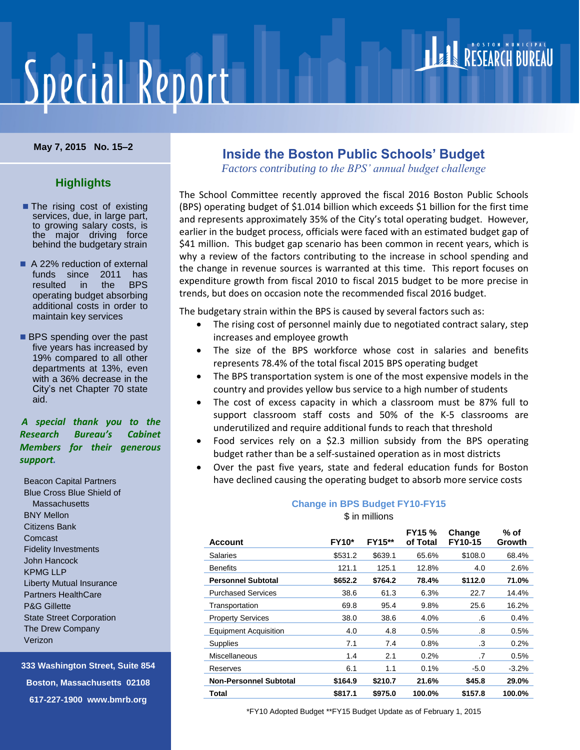# **Special Report**

#### **May 7, 2015 No. 15–2**

# **Highlights**

- **The rising cost of existing** services, due, in large part, to growing salary costs, is the major driving force behind the budgetary strain
- A 22% reduction of external funds since 2011 has resulted in the BPS operating budget absorbing additional costs in order to maintain key services
- **BPS** spending over the past five years has increased by 19% compared to all other departments at 13%, even with a 36% decrease in the City's net Chapter 70 state aid.

#### *A special thank you to the Research Bureau's Cabinet Members for their generous support.*

Beacon Capital Partners Blue Cross Blue Shield of **Massachusetts** BNY Mellon Citizens Bank Comcast Fidelity Investments John Hancock KPMG LLP Liberty Mutual Insurance Partners HealthCare P&G Gillette State Street Corporation The Drew Company Verizon

**333 Washington Street, Suite 854 Boston, Massachusetts 02108 617-227-1900 www.bmrb.org**

# **Inside the Boston Public Schools' Budget**

RESEARCH BUREAU

*Factors contributing to the BPS' annual budget challenge*

The School Committee recently approved the fiscal 2016 Boston Public Schools (BPS) operating budget of \$1.014 billion which exceeds \$1 billion for the first time and represents approximately 35% of the City's total operating budget. However, earlier in the budget process, officials were faced with an estimated budget gap of \$41 million. This budget gap scenario has been common in recent years, which is why a review of the factors contributing to the increase in school spending and the change in revenue sources is warranted at this time. This report focuses on expenditure growth from fiscal 2010 to fiscal 2015 budget to be more precise in trends, but does on occasion note the recommended fiscal 2016 budget.

The budgetary strain within the BPS is caused by several factors such as:

- The rising cost of personnel mainly due to negotiated contract salary, step increases and employee growth
- The size of the BPS workforce whose cost in salaries and benefits represents 78.4% of the total fiscal 2015 BPS operating budget
- The BPS transportation system is one of the most expensive models in the country and provides yellow bus service to a high number of students
- The cost of excess capacity in which a classroom must be 87% full to support classroom staff costs and 50% of the K-5 classrooms are underutilized and require additional funds to reach that threshold
- Food services rely on a \$2.3 million subsidy from the BPS operating budget rather than be a self-sustained operation as in most districts
- Over the past five years, state and federal education funds for Boston have declined causing the operating budget to absorb more service costs

#### **Change in BPS Budget FY10-FY15**

\$ in millions

| <b>Account</b>                | <b>FY10*</b> | <b>FY15**</b> | <b>FY15 %</b><br>of Total | Change<br>FY10-15 | $%$ of<br>Growth |
|-------------------------------|--------------|---------------|---------------------------|-------------------|------------------|
| <b>Salaries</b>               | \$531.2      | \$639.1       | 65.6%                     | \$108.0           | 68.4%            |
| <b>Benefits</b>               | 121.1        | 125.1         | 12.8%                     | 4.0               | 2.6%             |
| <b>Personnel Subtotal</b>     | \$652.2      | \$764.2       | 78.4%                     | \$112.0           | 71.0%            |
| <b>Purchased Services</b>     | 38.6         | 61.3          | 6.3%                      | 22.7              | 14.4%            |
| Transportation                | 69.8         | 95.4          | 9.8%                      | 25.6              | 16.2%            |
| <b>Property Services</b>      | 38.0         | 38.6          | 4.0%                      | .6                | 0.4%             |
| <b>Equipment Acquisition</b>  | 4.0          | 4.8           | 0.5%                      | .8                | 0.5%             |
| <b>Supplies</b>               | 7.1          | 7.4           | 0.8%                      | .3                | 0.2%             |
| Miscellaneous                 | 1.4          | 2.1           | 0.2%                      | $\cdot$ 7         | 0.5%             |
| Reserves                      | 6.1          | 1.1           | 0.1%                      | $-5.0$            | $-3.2%$          |
| <b>Non-Personnel Subtotal</b> | \$164.9      | \$210.7       | 21.6%                     | \$45.8            | 29.0%            |
| Total                         | \$817.1      | \$975.0       | 100.0%                    | \$157.8           | 100.0%           |

\*FY10 Adopted Budget \*\*FY15 Budget Update as of February 1, 2015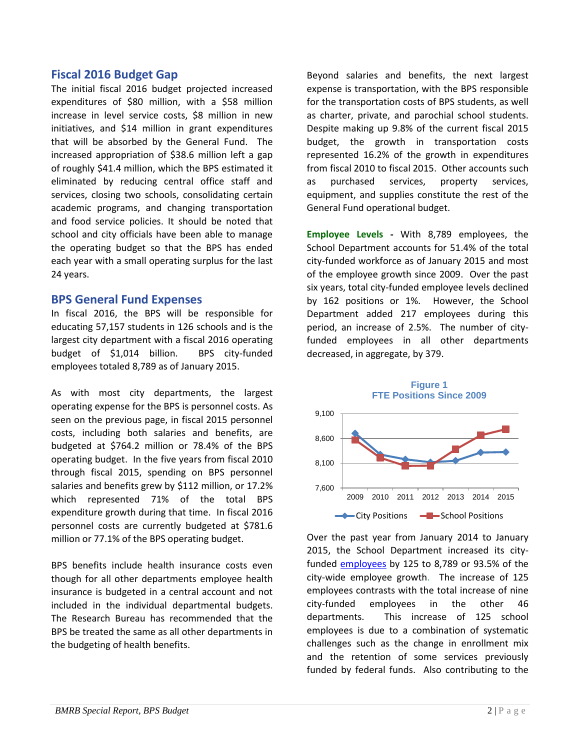#### **Fiscal 2016 Budget Gap**

The initial fiscal 2016 budget projected increased expenditures of \$80 million, with a \$58 million increase in level service costs, \$8 million in new initiatives, and \$14 million in grant expenditures that will be absorbed by the General Fund. The increased appropriation of \$38.6 million left a gap of roughly \$41.4 million, which the BPS estimated it eliminated by reducing central office staff and services, closing two schools, consolidating certain academic programs, and changing transportation and food service policies. It should be noted that school and city officials have been able to manage the operating budget so that the BPS has ended each year with a small operating surplus for the last 24 years.

#### **BPS General Fund Expenses**

In fiscal 2016, the BPS will be responsible for educating 57,157 students in 126 schools and is the largest city department with a fiscal 2016 operating budget of \$1,014 billion. BPS city-funded employees totaled 8,789 as of January 2015.

As with most city departments, the largest operating expense for the BPS is personnel costs. As seen on the previous page, in fiscal 2015 personnel costs, including both salaries and benefits, are budgeted at \$764.2 million or 78.4% of the BPS operating budget. In the five years from fiscal 2010 through fiscal 2015, spending on BPS personnel salaries and benefits grew by \$112 million, or 17.2% which represented 71% of the total BPS expenditure growth during that time. In fiscal 2016 personnel costs are currently budgeted at \$781.6 million or 77.1% of the BPS operating budget.

BPS benefits include health insurance costs even though for all other departments employee health insurance is budgeted in a central account and not included in the individual departmental budgets. The Research Bureau has recommended that the BPS be treated the same as all other departments in the budgeting of health benefits.

Beyond salaries and benefits, the next largest expense is transportation, with the BPS responsible for the transportation costs of BPS students, as well as charter, private, and parochial school students. Despite making up 9.8% of the current fiscal 2015 budget, the growth in transportation costs represented 16.2% of the growth in expenditures from fiscal 2010 to fiscal 2015. Other accounts such as purchased services, property services, equipment, and supplies constitute the rest of the General Fund operational budget.

**Employee Levels -** With 8,789 employees, the School Department accounts for 51.4% of the total city-funded workforce as of January 2015 and most of the employee growth since 2009. Over the past six years, total city-funded employee levels declined by 162 positions or 1%. However, the School Department added 217 employees during this period, an increase of 2.5%. The number of cityfunded employees in all other departments decreased, in aggregate, by 379.

# 7,600 8,100 8,600 9,100 2009 2010 2011 2012 2013 2014 2015 **Figure 1 FTE Positions Since 2009**  $\leftarrow$ City Positions  $\leftarrow$  School Positions

Over the past year from January 2014 to January 2015, the School Department increased its cityfunded [employees](http://bmrb.org/wp-content/uploads/2015/03/SR15-1-link-2.pdf) by 125 to 8,789 or 93.5% of the city-wide employee growth. The increase of 125 employees contrasts with the total increase of nine city-funded employees in the other 46 departments. This increase of 125 school employees is due to a combination of systematic challenges such as the change in enrollment mix and the retention of some services previously funded by federal funds. Also contributing to the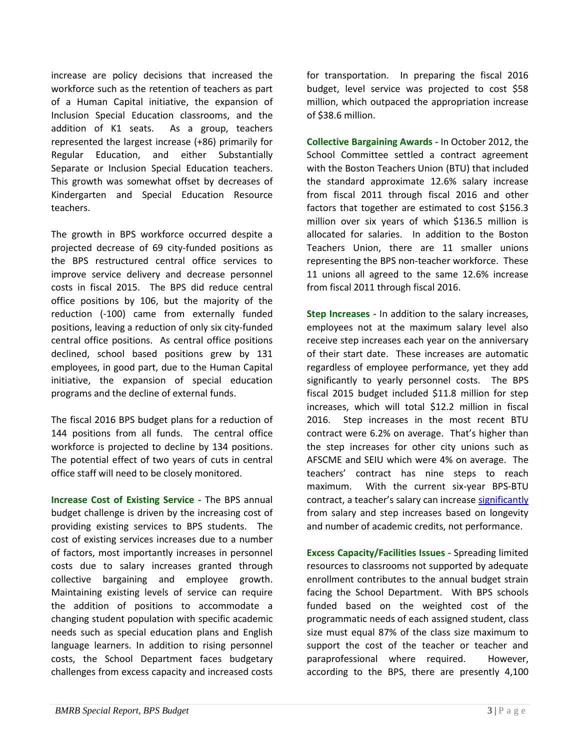increase are policy decisions that increased the workforce such as the retention of teachers as part of a Human Capital initiative, the expansion of Inclusion Special Education classrooms, and the addition of K1 seats. As a group, teachers represented the largest increase (+86) primarily for Regular Education, and either Substantially Separate or Inclusion Special Education teachers. This growth was somewhat offset by decreases of Kindergarten and Special Education Resource teachers.

The growth in BPS workforce occurred despite a projected decrease of 69 city-funded positions as the BPS restructured central office services to improve service delivery and decrease personnel costs in fiscal 2015. The BPS did reduce central office positions by 106, but the majority of the reduction (-100) came from externally funded positions, leaving a reduction of only six city-funded central office positions. As central office positions declined, school based positions grew by 131 employees, in good part, due to the Human Capital initiative, the expansion of special education programs and the decline of external funds.

The fiscal 2016 BPS budget plans for a reduction of 144 positions from all funds. The central office workforce is projected to decline by 134 positions. The potential effect of two years of cuts in central office staff will need to be closely monitored.

**Increase Cost of Existing Service -** The BPS annual budget challenge is driven by the increasing cost of providing existing services to BPS students. The cost of existing services increases due to a number of factors, most importantly increases in personnel costs due to salary increases granted through collective bargaining and employee growth. Maintaining existing levels of service can require the addition of positions to accommodate a changing student population with specific academic needs such as special education plans and English language learners. In addition to rising personnel costs, the School Department faces budgetary challenges from excess capacity and increased costs

for transportation. In preparing the fiscal 2016 budget, level service was projected to cost \$58 million, which outpaced the appropriation increase of \$38.6 million.

**Collective Bargaining Awards -** In October 2012, the School Committee settled a contract agreement with the Boston Teachers Union (BTU) that included the standard approximate 12.6% salary increase from fiscal 2011 through fiscal 2016 and other factors that together are estimated to cost \$156.3 million over six years of which \$136.5 million is allocated for salaries. In addition to the Boston Teachers Union, there are 11 smaller unions representing the BPS non-teacher workforce. These 11 unions all agreed to the same 12.6% increase from fiscal 2011 through fiscal 2016.

**Step Increases -** In addition to the salary increases, employees not at the maximum salary level also receive step increases each year on the anniversary of their start date. These increases are automatic regardless of employee performance, yet they add significantly to yearly personnel costs. The BPS fiscal 2015 budget included \$11.8 million for step increases, which will total \$12.2 million in fiscal 2016. Step increases in the most recent BTU contract were 6.2% on average. That's higher than the step increases for other city unions such as AFSCME and SEIU which were 4% on average. The teachers' contract has nine steps to reach maximum. With the current six-year BPS-BTU contract, a teacher's salary can increase [significantly](http://bmrb.org/wp-content/uploads/2015/05/SR15-2-link-2.pdf) from salary and step increases based on longevity and number of academic credits, not performance.

**Excess Capacity/Facilities Issues -** Spreading limited resources to classrooms not supported by adequate enrollment contributes to the annual budget strain facing the School Department. With BPS schools funded based on the weighted cost of the programmatic needs of each assigned student, class size must equal 87% of the class size maximum to support the cost of the teacher or teacher and paraprofessional where required. However, according to the BPS, there are presently 4,100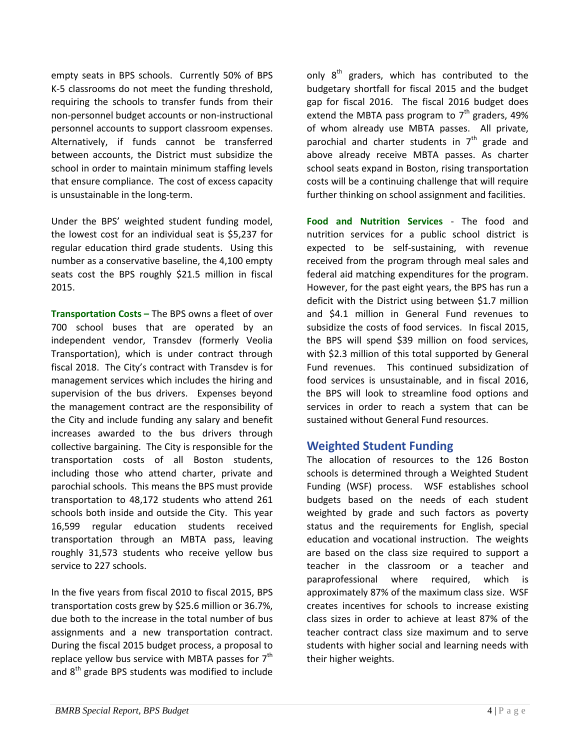empty seats in BPS schools. Currently 50% of BPS K-5 classrooms do not meet the funding threshold, requiring the schools to transfer funds from their non-personnel budget accounts or non-instructional personnel accounts to support classroom expenses. Alternatively, if funds cannot be transferred between accounts, the District must subsidize the school in order to maintain minimum staffing levels that ensure compliance. The cost of excess capacity is unsustainable in the long-term.

Under the BPS' weighted student funding model, the lowest cost for an individual seat is \$5,237 for regular education third grade students. Using this number as a conservative baseline, the 4,100 empty seats cost the BPS roughly \$21.5 million in fiscal 2015.

**Transportation Costs –** The BPS owns a fleet of over 700 school buses that are operated by an independent vendor, Transdev (formerly Veolia Transportation), which is under contract through fiscal 2018. The City's contract with Transdev is for management services which includes the hiring and supervision of the bus drivers. Expenses beyond the management contract are the responsibility of the City and include funding any salary and benefit increases awarded to the bus drivers through collective bargaining. The City is responsible for the transportation costs of all Boston students, including those who attend charter, private and parochial schools. This means the BPS must provide transportation to 48,172 students who attend 261 schools both inside and outside the City. This year 16,599 regular education students received transportation through an MBTA pass, leaving roughly 31,573 students who receive yellow bus service to 227 schools.

In the five years from fiscal 2010 to fiscal 2015, BPS transportation costs grew by \$25.6 million or 36.7%, due both to the increase in the total number of bus assignments and a new transportation contract. During the fiscal 2015 budget process, a proposal to replace yellow bus service with MBTA passes for  $7<sup>th</sup>$ and 8<sup>th</sup> grade BPS students was modified to include only  $8<sup>th</sup>$  graders, which has contributed to the budgetary shortfall for fiscal 2015 and the budget gap for fiscal 2016. The fiscal 2016 budget does extend the MBTA pass program to  $7<sup>th</sup>$  graders, 49% of whom already use MBTA passes. All private, parochial and charter students in  $7<sup>th</sup>$  grade and above already receive MBTA passes. As charter school seats expand in Boston, rising transportation costs will be a continuing challenge that will require further thinking on school assignment and facilities.

**Food and Nutrition Services** - The food and nutrition services for a public school district is expected to be self-sustaining, with revenue received from the program through meal sales and federal aid matching expenditures for the program. However, for the past eight years, the BPS has run a deficit with the District using between \$1.7 million and \$4.1 million in General Fund revenues to subsidize the costs of food services. In fiscal 2015, the BPS will spend \$39 million on food services, with \$2.3 million of this total supported by General Fund revenues. This continued subsidization of food services is unsustainable, and in fiscal 2016, the BPS will look to streamline food options and services in order to reach a system that can be sustained without General Fund resources.

# **Weighted Student Funding**

The allocation of resources to the 126 Boston schools is determined through a Weighted Student Funding (WSF) process. WSF establishes school budgets based on the needs of each student weighted by grade and such factors as poverty status and the requirements for English, special education and vocational instruction. The weights are based on the class size required to support a teacher in the classroom or a teacher and paraprofessional where required, which is approximately 87% of the maximum class size. WSF creates incentives for schools to increase existing class sizes in order to achieve at least 87% of the teacher contract class size maximum and to serve students with higher social and learning needs with their higher weights.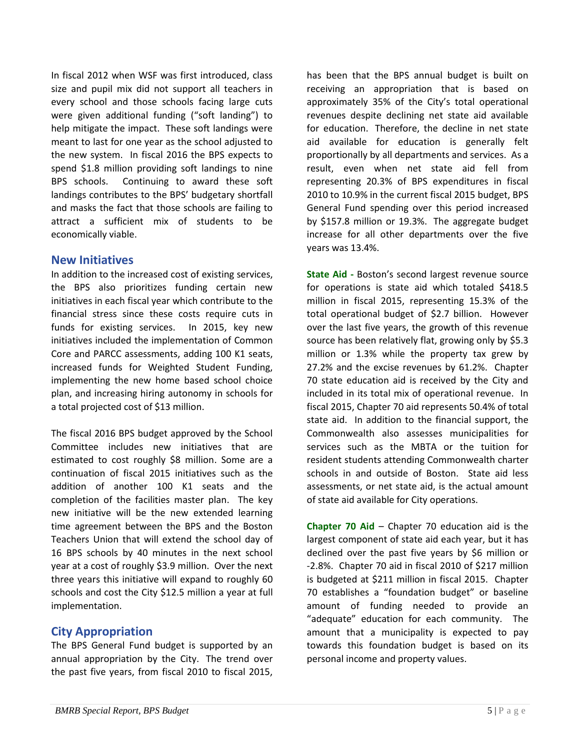In fiscal 2012 when WSF was first introduced, class size and pupil mix did not support all teachers in every school and those schools facing large cuts were given additional funding ("soft landing") to help mitigate the impact. These soft landings were meant to last for one year as the school adjusted to the new system. In fiscal 2016 the BPS expects to spend \$1.8 million providing soft landings to nine BPS schools. Continuing to award these soft landings contributes to the BPS' budgetary shortfall and masks the fact that those schools are failing to attract a sufficient mix of students to be economically viable.

#### **New Initiatives**

In addition to the increased cost of existing services, the BPS also prioritizes funding certain new initiatives in each fiscal year which contribute to the financial stress since these costs require cuts in funds for existing services. In 2015, key new initiatives included the implementation of Common Core and PARCC assessments, adding 100 K1 seats, increased funds for Weighted Student Funding, implementing the new home based school choice plan, and increasing hiring autonomy in schools for a total projected cost of \$13 million.

The fiscal 2016 BPS budget approved by the School Committee includes new initiatives that are estimated to cost roughly \$8 million. Some are a continuation of fiscal 2015 initiatives such as the addition of another 100 K1 seats and the completion of the facilities master plan. The key new initiative will be the new extended learning time agreement between the BPS and the Boston Teachers Union that will extend the school day of 16 BPS schools by 40 minutes in the next school year at a cost of roughly \$3.9 million. Over the next three years this initiative will expand to roughly 60 schools and cost the City \$12.5 million a year at full implementation.

# **City Appropriation**

The BPS General Fund budget is supported by an annual appropriation by the City. The trend over the past five years, from fiscal 2010 to fiscal 2015,

has been that the BPS annual budget is built on receiving an appropriation that is based on approximately 35% of the City's total operational revenues despite declining net state aid available for education. Therefore, the decline in net state aid available for education is generally felt proportionally by all departments and services. As a result, even when net state aid fell from representing 20.3% of BPS expenditures in fiscal 2010 to 10.9% in the current fiscal 2015 budget, BPS General Fund spending over this period increased by \$157.8 million or 19.3%. The aggregate budget increase for all other departments over the five years was 13.4%.

**State Aid -** Boston's second largest revenue source for operations is state aid which totaled \$418.5 million in fiscal 2015, representing 15.3% of the total operational budget of \$2.7 billion. However over the last five years, the growth of this revenue source has been relatively flat, growing only by \$5.3 million or 1.3% while the property tax grew by 27.2% and the excise revenues by 61.2%. Chapter 70 state education aid is received by the City and included in its total mix of operational revenue. In fiscal 2015, Chapter 70 aid represents 50.4% of total state aid. In addition to the financial support, the Commonwealth also assesses municipalities for services such as the MBTA or the tuition for resident students attending Commonwealth charter schools in and outside of Boston. State aid less assessments, or net state aid, is the actual amount of state aid available for City operations.

**Chapter 70 Aid** – Chapter 70 education aid is the largest component of state aid each year, but it has declined over the past five years by \$6 million or -2.8%. Chapter 70 aid in fiscal 2010 of \$217 million is budgeted at \$211 million in fiscal 2015. Chapter 70 establishes a "foundation budget" or baseline amount of funding needed to provide an "adequate" education for each community. The amount that a municipality is expected to pay towards this foundation budget is based on its personal income and property values.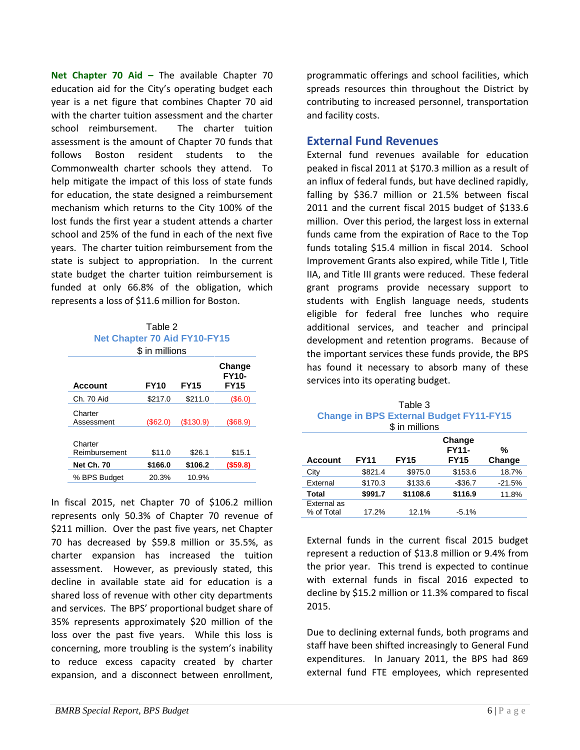**Net Chapter 70 Aid –** The available Chapter 70 education aid for the City's operating budget each year is a net figure that combines Chapter 70 aid with the charter tuition assessment and the charter school reimbursement. The charter tuition assessment is the amount of Chapter 70 funds that follows Boston resident students to the Commonwealth charter schools they attend. To help mitigate the impact of this loss of state funds for education, the state designed a reimbursement mechanism which returns to the City 100% of the lost funds the first year a student attends a charter school and 25% of the fund in each of the next five years. The charter tuition reimbursement from the state is subject to appropriation. In the current state budget the charter tuition reimbursement is funded at only 66.8% of the obligation, which represents a loss of \$11.6 million for Boston.

| Table 2 |  |                              |  |  |  |
|---------|--|------------------------------|--|--|--|
|         |  | Net Chapter 70 Aid FY10-FY15 |  |  |  |

| \$ in millions           |             |             |                                       |  |  |
|--------------------------|-------------|-------------|---------------------------------------|--|--|
| <b>Account</b>           | <b>FY10</b> | <b>FY15</b> | Change<br><b>FY10-</b><br><b>FY15</b> |  |  |
| Ch. 70 Aid               | \$217.0     | \$211.0     | (\$6.0)                               |  |  |
| Charter<br>Assessment    | (S62.0)     | (\$130.9)   | (S68.9)                               |  |  |
| Charter<br>Reimbursement | \$11.0      | \$26.1      | \$15.1                                |  |  |
| <b>Net Ch. 70</b>        | \$166.0     | \$106.2     | (\$59.8)                              |  |  |
| % BPS Budget             | 20.3%       | 10.9%       |                                       |  |  |

In fiscal 2015, net Chapter 70 of \$106.2 million represents only 50.3% of Chapter 70 revenue of \$211 million. Over the past five years, net Chapter 70 has decreased by \$59.8 million or 35.5%, as charter expansion has increased the tuition assessment. However, as previously stated, this decline in available state aid for education is a shared loss of revenue with other city departments and services. The BPS' proportional budget share of 35% represents approximately \$20 million of the loss over the past five years. While this loss is concerning, more troubling is the system's inability to reduce excess capacity created by charter expansion, and a disconnect between enrollment,

programmatic offerings and school facilities, which spreads resources thin throughout the District by contributing to increased personnel, transportation and facility costs.

#### **External Fund Revenues**

External fund revenues available for education peaked in fiscal 2011 at \$170.3 million as a result of an influx of federal funds, but have declined rapidly, falling by \$36.7 million or 21.5% between fiscal 2011 and the current fiscal 2015 budget of \$133.6 million. Over this period, the largest loss in external funds came from the expiration of Race to the Top funds totaling \$15.4 million in fiscal 2014. School Improvement Grants also expired, while Title I, Title IIA, and Title III grants were reduced. These federal grant programs provide necessary support to students with English language needs, students eligible for federal free lunches who require additional services, and teacher and principal development and retention programs. Because of the important services these funds provide, the BPS has found it necessary to absorb many of these services into its operating budget.

| Table 3                                        |  |  |  |  |
|------------------------------------------------|--|--|--|--|
| <b>Change in BPS External Budget FY11-FY15</b> |  |  |  |  |
| \$ in millions                                 |  |  |  |  |

| <b>Account</b>            | <b>FY11</b> | <b>FY15</b> | Change<br><b>FY11-</b><br><b>FY15</b> | %<br>Change |
|---------------------------|-------------|-------------|---------------------------------------|-------------|
| City                      | \$821.4     | \$975.0     | \$153.6                               | 18.7%       |
| External                  | \$170.3     | \$133.6     | $-$ \$36.7                            | $-21.5%$    |
| <b>Total</b>              | \$991.7     | \$1108.6    | \$116.9                               | 11.8%       |
| External as<br>% of Total | 17.2%       | 12.1%       | $-5.1%$                               |             |

External funds in the current fiscal 2015 budget represent a reduction of \$13.8 million or 9.4% from the prior year. This trend is expected to continue with external funds in fiscal 2016 expected to decline by \$15.2 million or 11.3% compared to fiscal 2015.

Due to declining external funds, both programs and staff have been shifted increasingly to General Fund expenditures. In January 2011, the BPS had 869 external fund FTE employees, which represented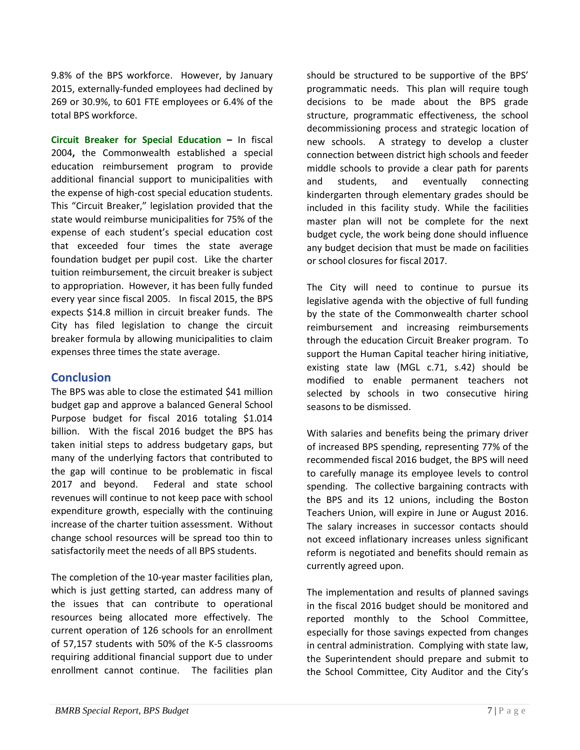9.8% of the BPS workforce. However, by January 2015, externally-funded employees had declined by 269 or 30.9%, to 601 FTE employees or 6.4% of the total BPS workforce.

**Circuit Breaker for Special Education –** In fiscal 2004**,** the Commonwealth established a special education reimbursement program to provide additional financial support to municipalities with the expense of high-cost special education students. This "Circuit Breaker," legislation provided that the state would reimburse municipalities for 75% of the expense of each student's special education cost that exceeded four times the state average foundation budget per pupil cost. Like the charter tuition reimbursement, the circuit breaker is subject to appropriation. However, it has been fully funded every year since fiscal 2005. In fiscal 2015, the BPS expects \$14.8 million in circuit breaker funds. The City has filed legislation to change the circuit breaker formula by allowing municipalities to claim expenses three times the state average.

# **Conclusion**

The BPS was able to close the estimated \$41 million budget gap and approve a balanced General School Purpose budget for fiscal 2016 totaling \$1.014 billion. With the fiscal 2016 budget the BPS has taken initial steps to address budgetary gaps, but many of the underlying factors that contributed to the gap will continue to be problematic in fiscal 2017 and beyond. Federal and state school revenues will continue to not keep pace with school expenditure growth, especially with the continuing increase of the charter tuition assessment. Without change school resources will be spread too thin to satisfactorily meet the needs of all BPS students.

The completion of the 10-year master facilities plan, which is just getting started, can address many of the issues that can contribute to operational resources being allocated more effectively. The current operation of 126 schools for an enrollment of 57,157 students with 50% of the K-5 classrooms requiring additional financial support due to under enrollment cannot continue. The facilities plan should be structured to be supportive of the BPS' programmatic needs. This plan will require tough decisions to be made about the BPS grade structure, programmatic effectiveness, the school decommissioning process and strategic location of new schools. A strategy to develop a cluster connection between district high schools and feeder middle schools to provide a clear path for parents and students, and eventually connecting kindergarten through elementary grades should be included in this facility study. While the facilities master plan will not be complete for the next budget cycle, the work being done should influence any budget decision that must be made on facilities or school closures for fiscal 2017.

The City will need to continue to pursue its legislative agenda with the objective of full funding by the state of the Commonwealth charter school reimbursement and increasing reimbursements through the education Circuit Breaker program. To support the Human Capital teacher hiring initiative, existing state law (MGL c.71, s.42) should be modified to enable permanent teachers not selected by schools in two consecutive hiring seasons to be dismissed.

With salaries and benefits being the primary driver of increased BPS spending, representing 77% of the recommended fiscal 2016 budget, the BPS will need to carefully manage its employee levels to control spending. The collective bargaining contracts with the BPS and its 12 unions, including the Boston Teachers Union, will expire in June or August 2016. The salary increases in successor contacts should not exceed inflationary increases unless significant reform is negotiated and benefits should remain as currently agreed upon.

The implementation and results of planned savings in the fiscal 2016 budget should be monitored and reported monthly to the School Committee, especially for those savings expected from changes in central administration. Complying with state law, the Superintendent should prepare and submit to the School Committee, City Auditor and the City's